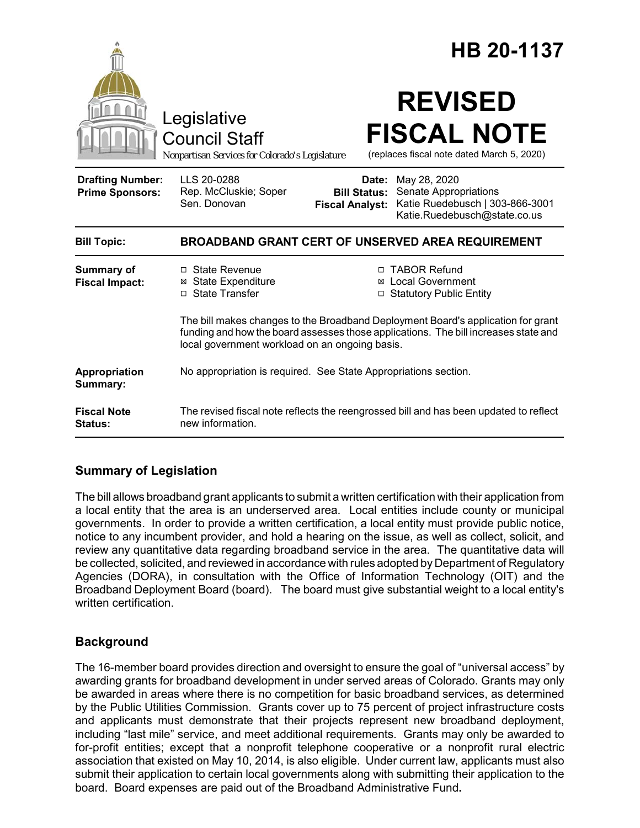|                                                   | Legislative<br><b>Council Staff</b><br>Nonpartisan Services for Colorado's Legislature                            |                                                        | HB 20-1137<br><b>REVISED</b><br><b>FISCAL NOTE</b><br>(replaces fiscal note dated March 5, 2020)                                                                                                                                             |
|---------------------------------------------------|-------------------------------------------------------------------------------------------------------------------|--------------------------------------------------------|----------------------------------------------------------------------------------------------------------------------------------------------------------------------------------------------------------------------------------------------|
| <b>Drafting Number:</b><br><b>Prime Sponsors:</b> | LLS 20-0288<br>Rep. McCluskie; Soper<br>Sen. Donovan                                                              | Date:<br><b>Bill Status:</b><br><b>Fiscal Analyst:</b> | May 28, 2020<br>Senate Appropriations<br>Katie Ruedebusch   303-866-3001<br>Katie.Ruedebusch@state.co.us                                                                                                                                     |
| <b>Bill Topic:</b>                                | <b>BROADBAND GRANT CERT OF UNSERVED AREA REQUIREMENT</b>                                                          |                                                        |                                                                                                                                                                                                                                              |
| <b>Summary of</b><br><b>Fiscal Impact:</b>        | □ State Revenue<br><b>⊠</b> State Expenditure<br>□ State Transfer                                                 |                                                        | □ TABOR Refund<br>⊠ Local Government<br>□ Statutory Public Entity<br>The bill makes changes to the Broadband Deployment Board's application for grant<br>funding and how the board assesses those applications. The bill increases state and |
| Appropriation<br>Summary:                         | local government workload on an ongoing basis.<br>No appropriation is required. See State Appropriations section. |                                                        |                                                                                                                                                                                                                                              |
| <b>Fiscal Note</b><br><b>Status:</b>              | The revised fiscal note reflects the reengrossed bill and has been updated to reflect<br>new information.         |                                                        |                                                                                                                                                                                                                                              |

# **Summary of Legislation**

The bill allows broadband grant applicants to submit a written certification with their application from a local entity that the area is an underserved area. Local entities include county or municipal governments. In order to provide a written certification, a local entity must provide public notice, notice to any incumbent provider, and hold a hearing on the issue, as well as collect, solicit, and review any quantitative data regarding broadband service in the area. The quantitative data will be collected, solicited, and reviewed in accordance with rules adopted by Department of Regulatory Agencies (DORA), in consultation with the Office of Information Technology (OIT) and the Broadband Deployment Board (board). The board must give substantial weight to a local entity's written certification.

# **Background**

The 16-member board provides direction and oversight to ensure the goal of "universal access" by awarding grants for broadband development in under served areas of Colorado. Grants may only be awarded in areas where there is no competition for basic broadband services, as determined by the Public Utilities Commission. Grants cover up to 75 percent of project infrastructure costs and applicants must demonstrate that their projects represent new broadband deployment, including "last mile" service, and meet additional requirements. Grants may only be awarded to for-profit entities; except that a nonprofit telephone cooperative or a nonprofit rural electric association that existed on May 10, 2014, is also eligible. Under current law, applicants must also submit their application to certain local governments along with submitting their application to the board. Board expenses are paid out of the Broadband Administrative Fund**.**